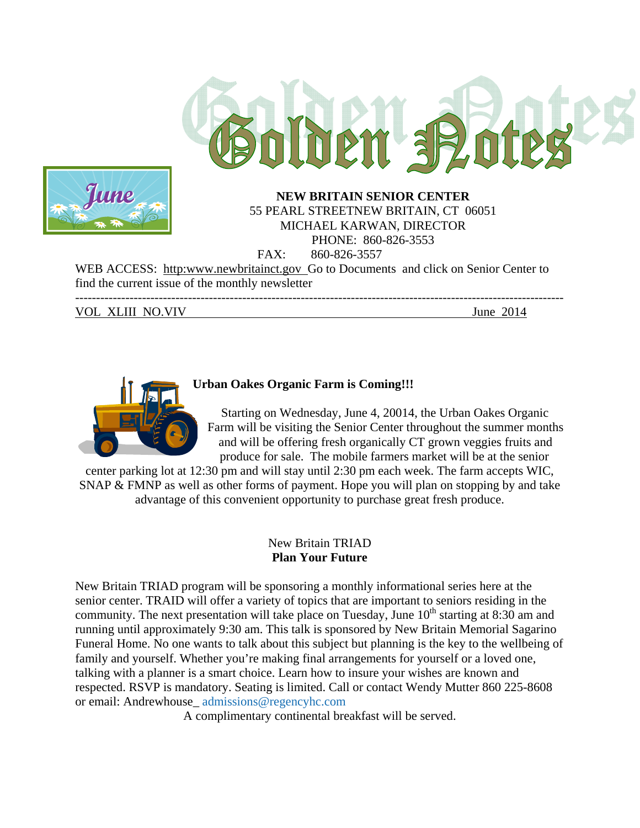



# 55 PEARL STREETNEW BRITAIN, CT 06051 MICHAEL KARWAN, DIRECTOR PHONE: 860-826-3553 FAX: 860-826-3557

WEB ACCESS: http:www.newbritainct.gov Go to Documents and click on Senior Center to find the current issue of the monthly newsletter

--------------------------------------------------------------------------------------------------------------------- VOL XLIII NO.VIV June 2014



## **Urban Oakes Organic Farm is Coming!!!**

Starting on Wednesday, June 4, 20014, the Urban Oakes Organic Farm will be visiting the Senior Center throughout the summer months and will be offering fresh organically CT grown veggies fruits and produce for sale. The mobile farmers market will be at the senior

center parking lot at 12:30 pm and will stay until 2:30 pm each week. The farm accepts WIC, SNAP & FMNP as well as other forms of payment. Hope you will plan on stopping by and take advantage of this convenient opportunity to purchase great fresh produce.

#### New Britain TRIAD **Plan Your Future**

New Britain TRIAD program will be sponsoring a monthly informational series here at the senior center. TRAID will offer a variety of topics that are important to seniors residing in the community. The next presentation will take place on Tuesday, June  $10<sup>th</sup>$  starting at 8:30 am and running until approximately 9:30 am. This talk is sponsored by New Britain Memorial Sagarino Funeral Home. No one wants to talk about this subject but planning is the key to the wellbeing of family and yourself. Whether you're making final arrangements for yourself or a loved one, talking with a planner is a smart choice. Learn how to insure your wishes are known and respected. RSVP is mandatory. Seating is limited. Call or contact Wendy Mutter 860 225-8608 or email: Andrewhouse\_ admissions@regencyhc.com

A complimentary continental breakfast will be served.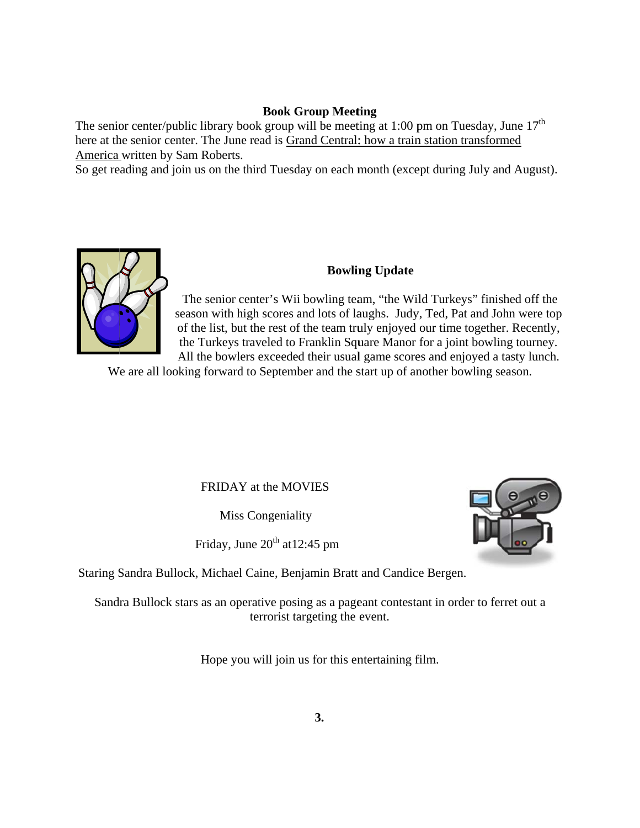#### **Book G Group Meet ting**

The senior center/public library book group will be meeting at 1:00 pm on Tuesday, June  $17<sup>th</sup>$ here at the senior center. The June read is Grand Central: how a train station transformed America written by Sam Roberts.

So get reading and join us on the third Tuesday on each month (except during July and August).



## **Bowlin ng Update**

season with high scores and lots of laughs. Judy, Ted, Pat and John were top of the list, but the rest of the team truly enjoyed our time together. Recently, All the bowlers exceeded their usual game scores and enjoyed a tasty lunch. The senior center's Wii bowling team, "the Wild Turkeys" finished off the the Turkeys traveled to Franklin Square Manor for a joint bowling tourney.

We are all looking forward to September and the start up of another bowling season.

## FRIDAY at the MOVIES

Mis s Congenial ity

Friday, June  $20^{th}$  at 12:45 pm

Staring Sandra Bullock, Michael Caine, Benjamin Bratt and Candice Bergen.

Sandra Bullock stars as an operative posing as a pageant contestant in order to ferret out a terrorist targeting the event.

Hope you will join us for this entertaining film.